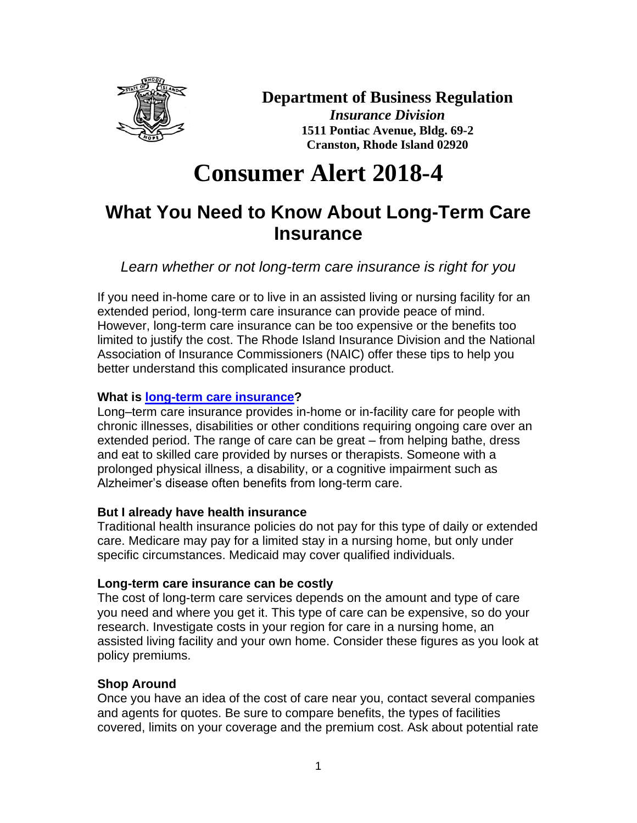

### **Department of Business Regulation**

*Insurance Division* **1511 Pontiac Avenue, Bldg. 69-2 Cranston, Rhode Island 02920**

# **Consumer Alert 2018-4**

## **What You Need to Know About Long-Term Care Insurance**

*Learn whether or not long-term care insurance is right for you*

If you need in-home care or to live in an assisted living or nursing facility for an extended period, long-term care insurance can provide peace of mind. However, long-term care insurance can be too expensive or the benefits too limited to justify the cost. The Rhode Island Insurance Division and the National Association of Insurance Commissioners (NAIC) offer these tips to help you better understand this complicated insurance product.

#### **What is [long-term care insurance?](https://www.naic.org/documents/consumer_alert_ltc.htm)**

Long–term care insurance provides in-home or in-facility care for people with chronic illnesses, disabilities or other conditions requiring ongoing care over an extended period. The range of care can be great – from helping bathe, dress and eat to skilled care provided by nurses or therapists. Someone with a prolonged physical illness, a disability, or a cognitive impairment such as Alzheimer's disease often benefits from long-term care.

#### **But I already have health insurance**

Traditional health insurance policies do not pay for this type of daily or extended care. Medicare may pay for a limited stay in a nursing home, but only under specific circumstances. Medicaid may cover qualified individuals.

#### **Long-term care insurance can be costly**

The cost of long-term care services depends on the amount and type of care you need and where you get it. This type of care can be expensive, so do your research. Investigate costs in your region for care in a nursing home, an assisted living facility and your own home. Consider these figures as you look at policy premiums.

#### **Shop Around**

Once you have an idea of the cost of care near you, contact several companies and agents for quotes. Be sure to compare benefits, the types of facilities covered, limits on your coverage and the premium cost. Ask about potential rate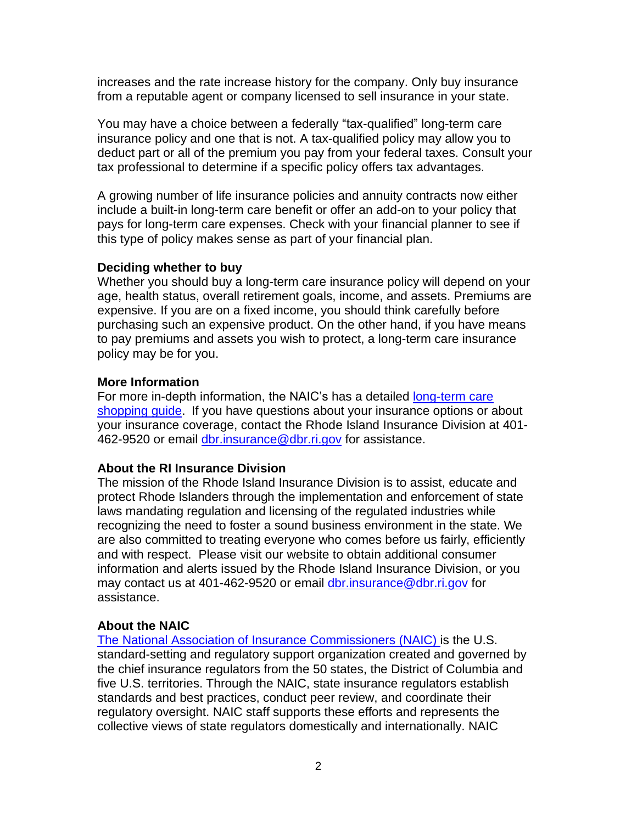increases and the rate increase history for the company. Only buy insurance from a reputable agent or company licensed to sell insurance in your state.

You may have a choice between a federally "tax-qualified" long-term care insurance policy and one that is not. A tax-qualified policy may allow you to deduct part or all of the premium you pay from your federal taxes. Consult your tax professional to determine if a specific policy offers tax advantages.

A growing number of life insurance policies and annuity contracts now either include a built-in long-term care benefit or offer an add-on to your policy that pays for long-term care expenses. Check with your financial planner to see if this type of policy makes sense as part of your financial plan.

#### **Deciding whether to buy**

Whether you should buy a long-term care insurance policy will depend on your age, health status, overall retirement goals, income, and assets. Premiums are expensive. If you are on a fixed income, you should think carefully before purchasing such an expensive product. On the other hand, if you have means to pay premiums and assets you wish to protect, a long-term care insurance policy may be for you.

#### **More Information**

For more in-depth information, the NAIC's has a detailed [long-term care](https://www.naic.org/documents/prod_serv_consumer_ltc_lp.pdf)  [shopping guide.](https://www.naic.org/documents/prod_serv_consumer_ltc_lp.pdf) If you have questions about your insurance options or about your insurance coverage, contact the Rhode Island Insurance Division at 401 462-9520 or email [dbr.insurance@dbr.ri.gov](mailto:dbr.insurance@dbr.ri.gov) for assistance.

#### **About the RI Insurance Division**

The mission of the Rhode Island Insurance Division is to assist, educate and protect Rhode Islanders through the implementation and enforcement of state laws mandating regulation and licensing of the regulated industries while recognizing the need to foster a sound business environment in the state. We are also committed to treating everyone who comes before us fairly, efficiently and with respect. Please visit our website to obtain additional consumer information and alerts issued by the Rhode Island Insurance Division, or you may contact us at 401-462-9520 or email [dbr.insurance@dbr.ri.gov](mailto:dbr.insurance@dbr.ri.gov) for assistance.

#### **About the NAIC**

The National Association [of Insurance Commissioners](http://www.naic.org/) (NAIC) is the U.S. standard-setting and regulatory support organization created and governed by the chief insurance regulators from the 50 states, the District of Columbia and five U.S. territories. Through the NAIC, state insurance regulators establish standards and best practices, conduct peer review, and coordinate their regulatory oversight. NAIC staff supports these efforts and represents the collective views of state regulators domestically and internationally. NAIC